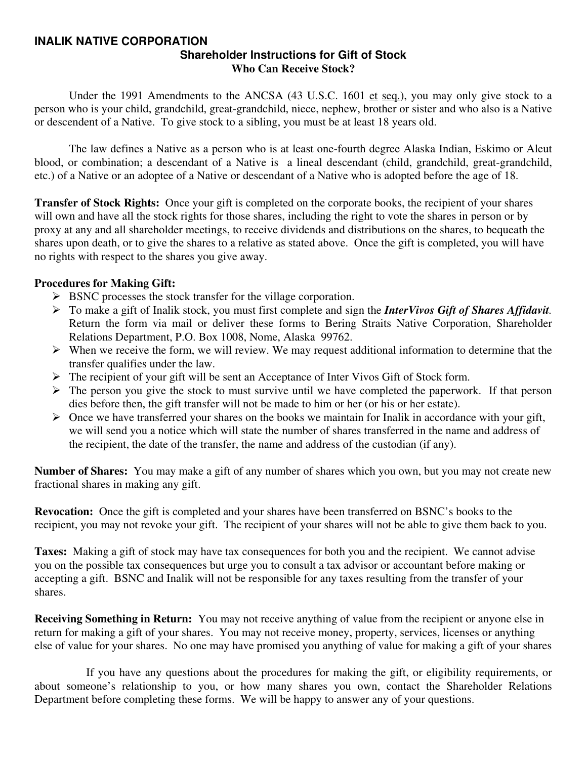#### **INALIK NATIVE CORPORATION Shareholder Instructions for Gift of Stock Who Can Receive Stock?**

Under the 1991 Amendments to the ANCSA (43 U.S.C. 1601 et seq.), you may only give stock to a person who is your child, grandchild, great-grandchild, niece, nephew, brother or sister and who also is a Native or descendent of a Native. To give stock to a sibling, you must be at least 18 years old.

 The law defines a Native as a person who is at least one-fourth degree Alaska Indian, Eskimo or Aleut blood, or combination; a descendant of a Native is a lineal descendant (child, grandchild, great-grandchild, etc.) of a Native or an adoptee of a Native or descendant of a Native who is adopted before the age of 18.

**Transfer of Stock Rights:** Once your gift is completed on the corporate books, the recipient of your shares will own and have all the stock rights for those shares, including the right to vote the shares in person or by proxy at any and all shareholder meetings, to receive dividends and distributions on the shares, to bequeath the shares upon death, or to give the shares to a relative as stated above. Once the gift is completed, you will have no rights with respect to the shares you give away.

#### **Procedures for Making Gift:**

- $\triangleright$  BSNC processes the stock transfer for the village corporation.
- ¾ To make a gift of Inalik stock, you must first complete and sign the *InterVivos Gift of Shares Affidavit.* Return the form via mail or deliver these forms to Bering Straits Native Corporation, Shareholder Relations Department, P.O. Box 1008, Nome, Alaska 99762.
- $\triangleright$  When we receive the form, we will review. We may request additional information to determine that the transfer qualifies under the law.
- ¾ The recipient of your gift will be sent an Acceptance of Inter Vivos Gift of Stock form.
- $\triangleright$  The person you give the stock to must survive until we have completed the paperwork. If that person dies before then, the gift transfer will not be made to him or her (or his or her estate).
- $\triangleright$  Once we have transferred your shares on the books we maintain for Inalik in accordance with your gift, we will send you a notice which will state the number of shares transferred in the name and address of the recipient, the date of the transfer, the name and address of the custodian (if any).

**Number of Shares:** You may make a gift of any number of shares which you own, but you may not create new fractional shares in making any gift.

**Revocation:** Once the gift is completed and your shares have been transferred on BSNC's books to the recipient, you may not revoke your gift. The recipient of your shares will not be able to give them back to you.

**Taxes:** Making a gift of stock may have tax consequences for both you and the recipient. We cannot advise you on the possible tax consequences but urge you to consult a tax advisor or accountant before making or accepting a gift. BSNC and Inalik will not be responsible for any taxes resulting from the transfer of your shares.

**Receiving Something in Return:** You may not receive anything of value from the recipient or anyone else in return for making a gift of your shares. You may not receive money, property, services, licenses or anything else of value for your shares. No one may have promised you anything of value for making a gift of your shares

 If you have any questions about the procedures for making the gift, or eligibility requirements, or about someone's relationship to you, or how many shares you own, contact the Shareholder Relations Department before completing these forms. We will be happy to answer any of your questions.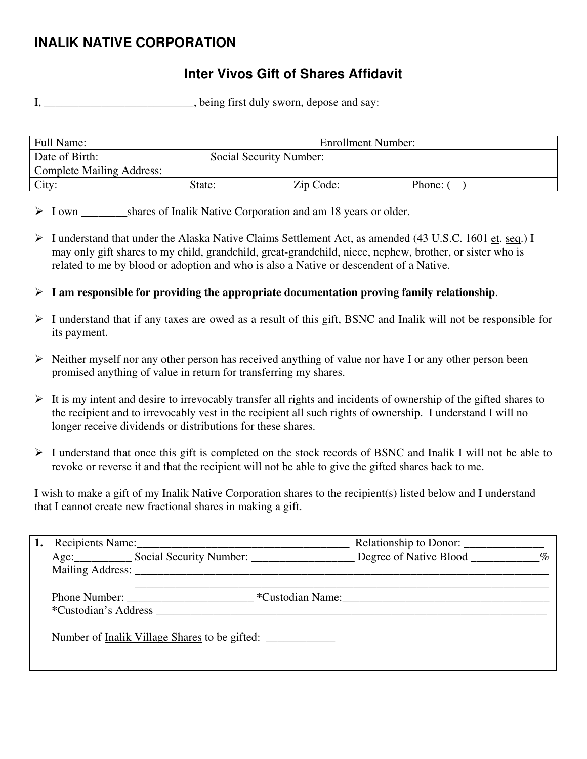# **INALIK NATIVE CORPORATION**

### **Inter Vivos Gift of Shares Affidavit**

I, \_\_\_\_\_\_\_\_\_\_\_\_\_\_\_\_\_\_\_\_\_\_, being first duly sworn, depose and say:

| Full Name:                       |                         | <b>Enrollment Number:</b> |        |
|----------------------------------|-------------------------|---------------------------|--------|
| Date of Birth:                   | Social Security Number: |                           |        |
| <b>Complete Mailing Address:</b> |                         |                           |        |
| City:                            | State:                  | Zip Code:                 | Phone: |

> I own shares of Inalik Native Corporation and am 18 years or older.

- $\triangleright$  I understand that under the Alaska Native Claims Settlement Act, as amended (43 U.S.C. 1601 et. seq.) I may only gift shares to my child, grandchild, great-grandchild, niece, nephew, brother, or sister who is related to me by blood or adoption and who is also a Native or descendent of a Native.
- $\triangleright$  **I** am responsible for providing the appropriate documentation proving family relationship.
- $\triangleright$  I understand that if any taxes are owed as a result of this gift, BSNC and Inalik will not be responsible for its payment.
- $\triangleright$  Neither myself nor any other person has received anything of value nor have I or any other person been promised anything of value in return for transferring my shares.
- $\triangleright$  It is my intent and desire to irrevocably transfer all rights and incidents of ownership of the gifted shares to the recipient and to irrevocably vest in the recipient all such rights of ownership. I understand I will no longer receive dividends or distributions for these shares.
- ¾ I understand that once this gift is completed on the stock records of BSNC and Inalik I will not be able to revoke or reverse it and that the recipient will not be able to give the gifted shares back to me.

I wish to make a gift of my Inalik Native Corporation shares to the recipient(s) listed below and I understand that I cannot create new fractional shares in making a gift.

|  | Recipients Name:                                                                                         |                  |  |
|--|----------------------------------------------------------------------------------------------------------|------------------|--|
|  | Age: Social Security Number: Degree of Native Blood 1997                                                 |                  |  |
|  |                                                                                                          |                  |  |
|  | Phone Number:<br>*Custodian's Address <b>Example 20</b><br>Number of Inalik Village Shares to be gifted: | *Custodian Name: |  |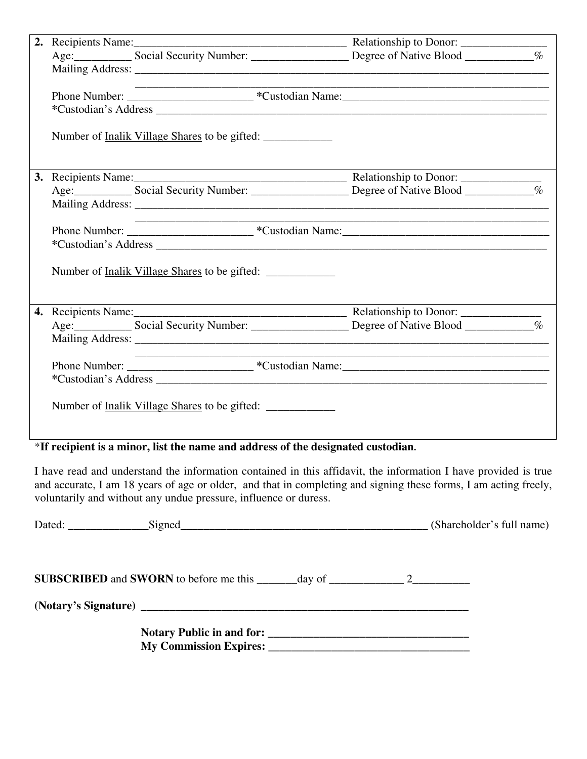|  | <u> 1980 - Johann John Stone, markin amerikan bisa di sebagai personal dan bisa di sebagai personal dan bisa di s</u> |                                                                                                                                                                                                                                |  |
|--|-----------------------------------------------------------------------------------------------------------------------|--------------------------------------------------------------------------------------------------------------------------------------------------------------------------------------------------------------------------------|--|
|  |                                                                                                                       |                                                                                                                                                                                                                                |  |
|  |                                                                                                                       |                                                                                                                                                                                                                                |  |
|  |                                                                                                                       |                                                                                                                                                                                                                                |  |
|  |                                                                                                                       |                                                                                                                                                                                                                                |  |
|  |                                                                                                                       |                                                                                                                                                                                                                                |  |
|  |                                                                                                                       |                                                                                                                                                                                                                                |  |
|  |                                                                                                                       |                                                                                                                                                                                                                                |  |
|  |                                                                                                                       |                                                                                                                                                                                                                                |  |
|  |                                                                                                                       |                                                                                                                                                                                                                                |  |
|  | Number of <u>Inalik Village Shares</u> to be gifted:                                                                  |                                                                                                                                                                                                                                |  |
|  |                                                                                                                       |                                                                                                                                                                                                                                |  |
|  |                                                                                                                       |                                                                                                                                                                                                                                |  |
|  |                                                                                                                       |                                                                                                                                                                                                                                |  |
|  |                                                                                                                       |                                                                                                                                                                                                                                |  |
|  |                                                                                                                       | *Custodian's Address experience of the state of the state of the state of the state of the state of the state of the state of the state of the state of the state of the state of the state of the state of the state of the s |  |
|  |                                                                                                                       |                                                                                                                                                                                                                                |  |
|  | Number of <u>Inalik Village Shares</u> to be gifted:                                                                  |                                                                                                                                                                                                                                |  |
|  |                                                                                                                       |                                                                                                                                                                                                                                |  |

### \***If recipient is a minor, list the name and address of the designated custodian.**

I have read and understand the information contained in this affidavit, the information I have provided is true and accurate, I am 18 years of age or older, and that in completing and signing these forms, I am acting freely, voluntarily and without any undue pressure, influence or duress.

| Dated: Signed Signed Signed Signed Signed States and the Signed States of the Signed States and States and States and States and States and States and States and States and States and States and States and States and State |  | (Shareholder's full name) |
|--------------------------------------------------------------------------------------------------------------------------------------------------------------------------------------------------------------------------------|--|---------------------------|
|                                                                                                                                                                                                                                |  |                           |
|                                                                                                                                                                                                                                |  |                           |
|                                                                                                                                                                                                                                |  |                           |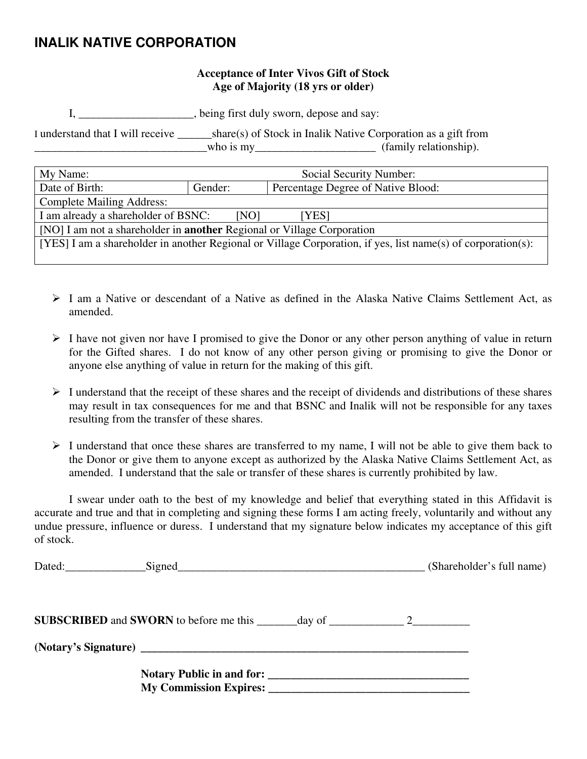### **INALIK NATIVE CORPORATION**

#### **Acceptance of Inter Vivos Gift of Stock Age of Majority (18 yrs or older)**

I, \_\_\_\_\_\_\_\_\_\_\_\_\_\_\_\_\_\_\_\_, being first duly sworn, depose and say:

I understand that I will receive \_\_\_\_\_\_share(s) of Stock in Inalik Native Corporation as a gift from  $\begin{array}{c} \text{two} \\ \text{two} \\ \text{two} \end{array}$  =  $\begin{array}{c} \text{two} \\ \text{two} \\ \text{two} \end{array}$  =  $\begin{array}{c} \text{two} \\ \text{two} \\ \text{two} \end{array}$  =  $\begin{array}{c} \text{two} \\ \text{two} \\ \text{two} \end{array}$ 

| My Name:                                                                                                     | Social Security Number:                       |  |  |
|--------------------------------------------------------------------------------------------------------------|-----------------------------------------------|--|--|
| Date of Birth:                                                                                               | Percentage Degree of Native Blood:<br>Gender: |  |  |
| <b>Complete Mailing Address:</b>                                                                             |                                               |  |  |
| I am already a shareholder of BSNC:<br>[NO]<br>[YES]                                                         |                                               |  |  |
| [NO] I am not a shareholder in <b>another</b> Regional or Village Corporation                                |                                               |  |  |
| [YES] I am a shareholder in another Regional or Village Corporation, if yes, list name(s) of corporation(s): |                                               |  |  |
|                                                                                                              |                                               |  |  |

- $\geq 1$  am a Native or descendant of a Native as defined in the Alaska Native Claims Settlement Act, as amended.
- $\triangleright$  I have not given nor have I promised to give the Donor or any other person anything of value in return for the Gifted shares. I do not know of any other person giving or promising to give the Donor or anyone else anything of value in return for the making of this gift.
- $\triangleright$  I understand that the receipt of these shares and the receipt of dividends and distributions of these shares may result in tax consequences for me and that BSNC and Inalik will not be responsible for any taxes resulting from the transfer of these shares.
- $\triangleright$  I understand that once these shares are transferred to my name, I will not be able to give them back to the Donor or give them to anyone except as authorized by the Alaska Native Claims Settlement Act, as amended. I understand that the sale or transfer of these shares is currently prohibited by law.

 I swear under oath to the best of my knowledge and belief that everything stated in this Affidavit is accurate and true and that in completing and signing these forms I am acting freely, voluntarily and without any undue pressure, influence or duress. I understand that my signature below indicates my acceptance of this gift of stock.

|  | (Shareholder's full name) |
|--|---------------------------|
|  |                           |
|  |                           |
|  |                           |